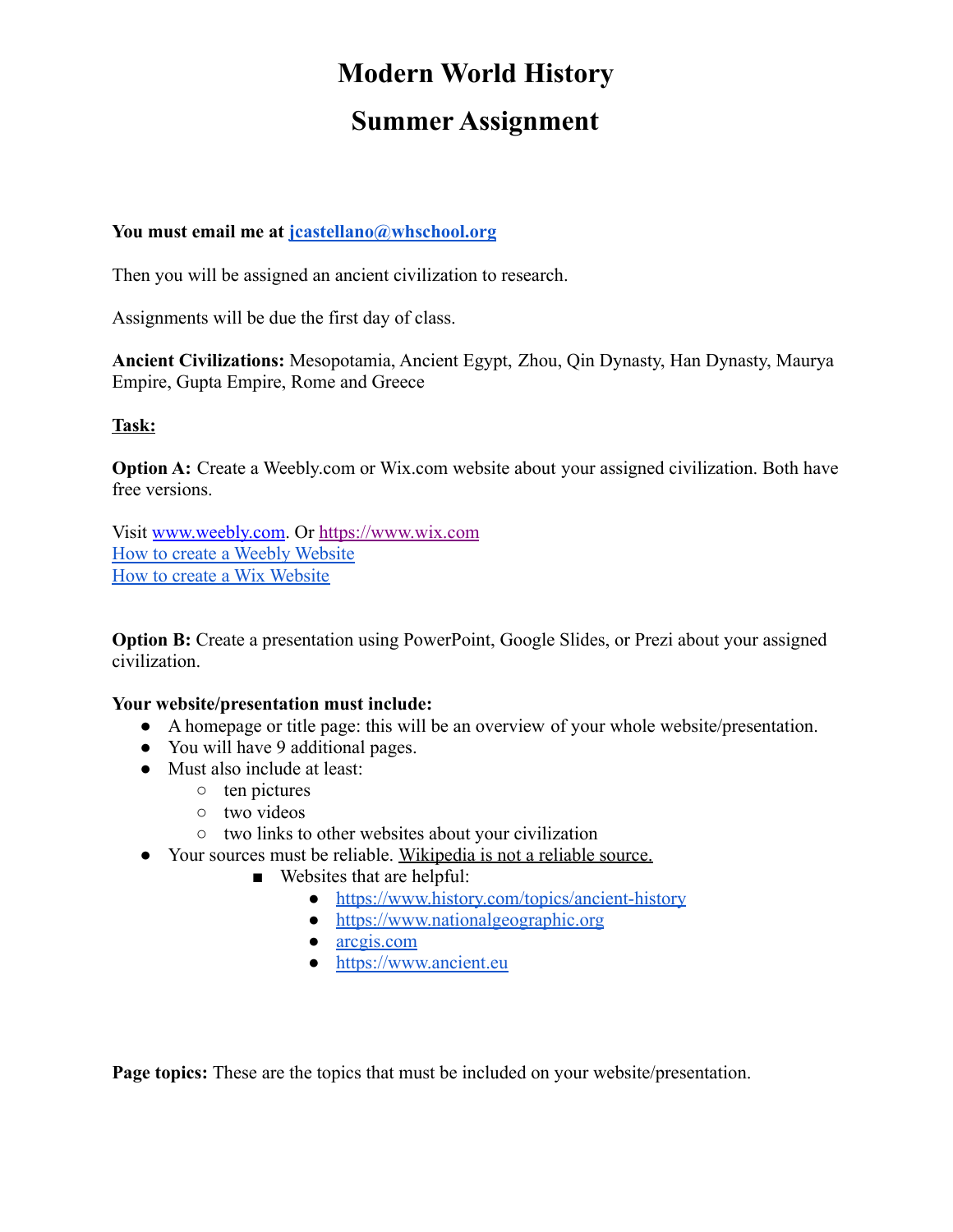# **Modern World History**

## **Summer Assignment**

## **You must email me at [jcastellano@whschool.org](mailto:jcastellano@whschool.org)**

Then you will be assigned an ancient civilization to research.

Assignments will be due the first day of class.

**Ancient Civilizations:** Mesopotamia, Ancient Egypt, Zhou, Qin Dynasty, Han Dynasty, Maurya Empire, Gupta Empire, Rome and Greece

## **Task:**

**Option A:** Create a Weebly.com or Wix.com website about your assigned civilization. Both have free versions.

Visit [www.weebly.com](http://www.weebly.com). Or [https://www.wix.com](https://www.wix.com/) [How to create a Weebly Website](https://www.youtube.com/watch?v=v81nRa_W9Fk) [How to create a Wix Website](https://www.youtube.com/watch?v=JTdK9q_iuE0)

**Option B:** Create a presentation using PowerPoint, Google Slides, or Prezi about your assigned civilization.

#### **Your website/presentation must include:**

- A homepage or title page: this will be an overview of your whole website/presentation.
- You will have 9 additional pages.
- Must also include at least:
	- ten pictures
	- two videos
	- two links to other websites about your civilization
- Your sources must be reliable. Wikipedia is not a reliable source.
	- Websites that are helpful:
		- <https://www.history.com/topics/ancient-history>
		- [https://www.nationalgeographic.org](https://www.nationalgeographic.org/article/key-components-civilization/)
		- [arcgis.com](https://www.arcgis.com/apps/MapJournal/index.html?appid=255d0d77abdb43ec81653892f2f93282&webmap=e95fee84637146e0bb862425fbf7ab04)
		- <https://www.ancient.eu>

**Page topics:** These are the topics that must be included on your website/presentation.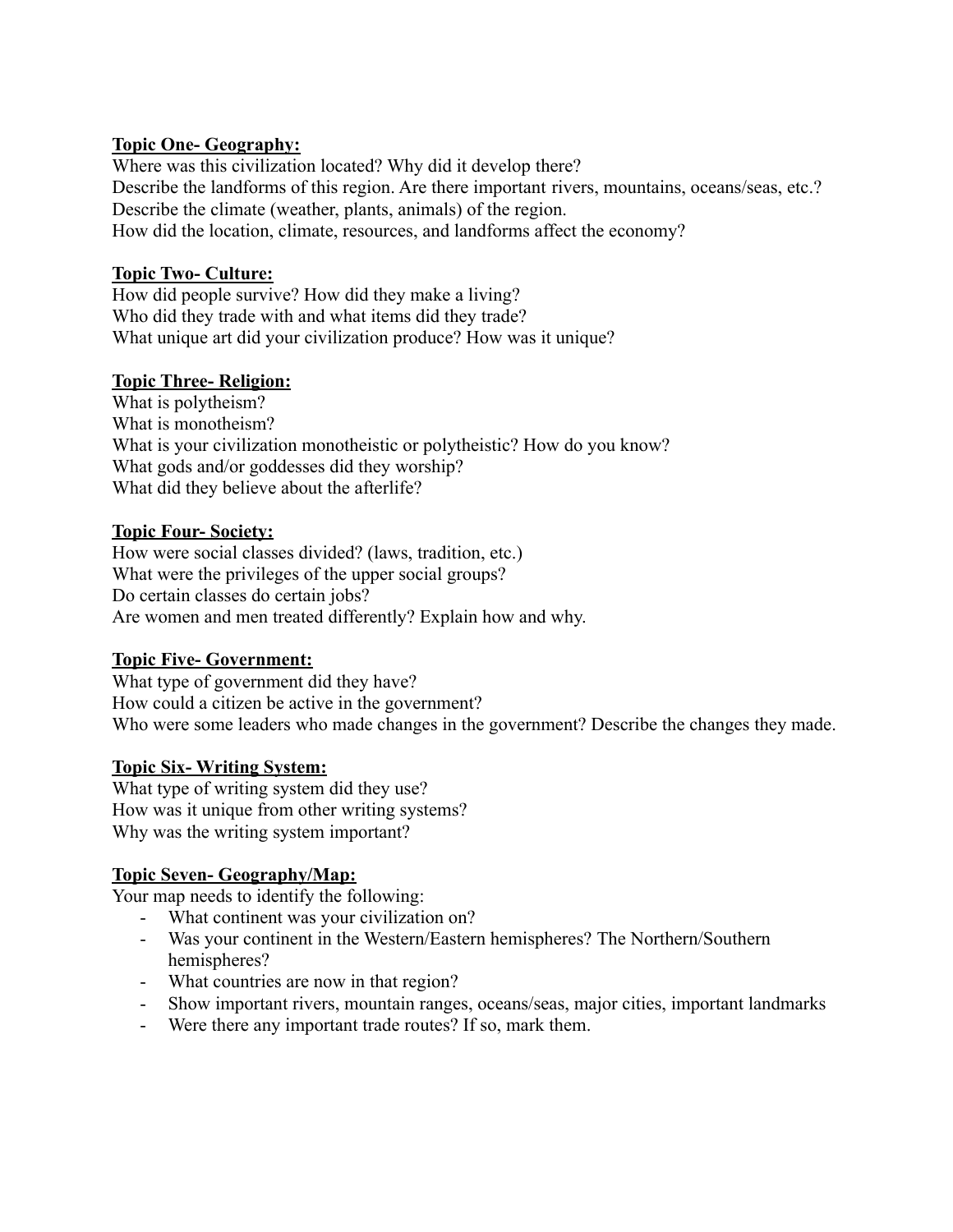#### **Topic One- Geography:**

Where was this civilization located? Why did it develop there? Describe the landforms of this region. Are there important rivers, mountains, oceans/seas, etc.? Describe the climate (weather, plants, animals) of the region. How did the location, climate, resources, and landforms affect the economy?

## **Topic Two- Culture:**

How did people survive? How did they make a living? Who did they trade with and what items did they trade? What unique art did your civilization produce? How was it unique?

## **Topic Three- Religion:**

What is polytheism? What is monotheism? What is your civilization monotheistic or polytheistic? How do you know? What gods and/or goddesses did they worship? What did they believe about the afterlife?

## **Topic Four- Society:**

How were social classes divided? (laws, tradition, etc.) What were the privileges of the upper social groups? Do certain classes do certain jobs? Are women and men treated differently? Explain how and why.

#### **Topic Five- Government:**

What type of government did they have? How could a citizen be active in the government? Who were some leaders who made changes in the government? Describe the changes they made.

#### **Topic Six- Writing System:**

What type of writing system did they use? How was it unique from other writing systems? Why was the writing system important?

#### **Topic Seven- Geography/Map:**

Your map needs to identify the following:

- What continent was your civilization on?
- Was your continent in the Western/Eastern hemispheres? The Northern/Southern hemispheres?
- What countries are now in that region?
- Show important rivers, mountain ranges, oceans/seas, major cities, important landmarks
- Were there any important trade routes? If so, mark them.